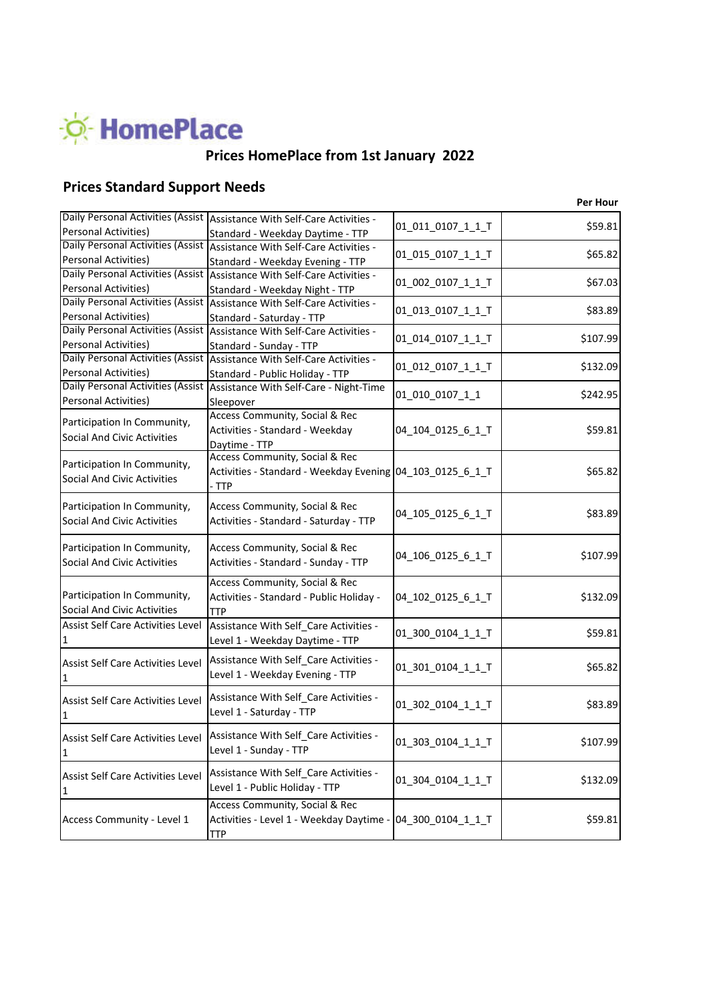

# **Prices HomePlace from 1st January 2022**

# **Prices Standard Support Needs**

|                                                                                    |                                                            | <b>Per Hour</b> |
|------------------------------------------------------------------------------------|------------------------------------------------------------|-----------------|
| Daily Personal Activities (Assist Assistance With Self-Care Activities -           | 01_011_0107_1_1_T                                          | \$59.81         |
| <b>Personal Activities)</b><br>Standard - Weekday Daytime - TTP                    |                                                            |                 |
| Daily Personal Activities (Assist Assistance With Self-Care Activities -           | 01_015_0107_1_1_T                                          | \$65.82         |
| Personal Activities)<br>Standard - Weekday Evening - TTP                           |                                                            |                 |
| Daily Personal Activities (Assist Assistance With Self-Care Activities -           | 01_002_0107_1_1_T                                          | \$67.03         |
| Personal Activities)<br>Standard - Weekday Night - TTP                             |                                                            |                 |
| Daily Personal Activities (Assist Assistance With Self-Care Activities -           | 01_013_0107_1_1_T                                          | \$83.89         |
| Personal Activities)<br>Standard - Saturday - TTP                                  |                                                            |                 |
| Daily Personal Activities (Assist Assistance With Self-Care Activities -           | 01 014_0107_1_1_T                                          | \$107.99        |
| Personal Activities)<br>Standard - Sunday - TTP                                    |                                                            |                 |
| Daily Personal Activities (Assist Assistance With Self-Care Activities -           | 01_012_0107_1_1_T                                          | \$132.09        |
| Personal Activities)<br>Standard - Public Holiday - TTP                            |                                                            |                 |
| Daily Personal Activities (Assist Assistance With Self-Care - Night-Time           | 01_010_0107_1_1                                            | \$242.95        |
| Personal Activities)<br>Sleepover                                                  |                                                            |                 |
| Access Community, Social & Rec<br>Participation In Community,                      |                                                            |                 |
| Activities - Standard - Weekday<br><b>Social And Civic Activities</b>              | 04_104_0125_6_1_T                                          | \$59.81         |
| Daytime - TTP<br>Access Community, Social & Rec                                    |                                                            |                 |
| Participation In Community,                                                        |                                                            | \$65.82         |
| <b>Social And Civic Activities</b>                                                 | Activities - Standard - Weekday Evening 04_103_0125_6_1_T  |                 |
| - TTP                                                                              |                                                            |                 |
| Participation In Community,<br>Access Community, Social & Rec                      | 04_105_0125_6_1_T                                          | \$83.89         |
| <b>Social And Civic Activities</b><br>Activities - Standard - Saturday - TTP       |                                                            |                 |
|                                                                                    |                                                            |                 |
| Participation In Community,<br>Access Community, Social & Rec                      | 04_106_0125_6_1_T                                          | \$107.99        |
| <b>Social And Civic Activities</b><br>Activities - Standard - Sunday - TTP         |                                                            |                 |
| Access Community, Social & Rec                                                     |                                                            |                 |
| Participation In Community,<br>Activities - Standard - Public Holiday -            | 04_102_0125_6_1_T                                          | \$132.09        |
| <b>Social And Civic Activities</b><br><b>TTP</b>                                   |                                                            |                 |
| Assist Self Care Activities Level<br>Assistance With Self Care Activities -        | 01_300_0104_1_1_T                                          | \$59.81         |
| Level 1 - Weekday Daytime - TTP<br>1                                               |                                                            |                 |
| Assistance With Self_Care Activities -<br><b>Assist Self Care Activities Level</b> |                                                            |                 |
| Level 1 - Weekday Evening - TTP                                                    | 01_301_0104_1_1_T                                          | \$65.82         |
|                                                                                    |                                                            |                 |
| Assistance With Self_Care Activities -<br><b>Assist Self Care Activities Level</b> | 01_302_0104_1_1_T                                          | \$83.89         |
| Level 1 - Saturday - TTP<br>1                                                      |                                                            |                 |
| Assistance With Self_Care Activities -                                             |                                                            |                 |
| <b>Assist Self Care Activities Level</b><br>Level 1 - Sunday - TTP                 | 01_303_0104_1_1_T                                          | \$107.99        |
| 1                                                                                  |                                                            |                 |
| Assistance With Self_Care Activities -<br>Assist Self Care Activities Level        |                                                            |                 |
| Level 1 - Public Holiday - TTP<br>1                                                | 01_304_0104_1_1_T                                          | \$132.09        |
| Access Community, Social & Rec                                                     |                                                            |                 |
| Access Community - Level 1                                                         | Activities - Level 1 - Weekday Daytime - 04_300_0104_1_1_T | \$59.81         |
| <b>TTP</b>                                                                         |                                                            |                 |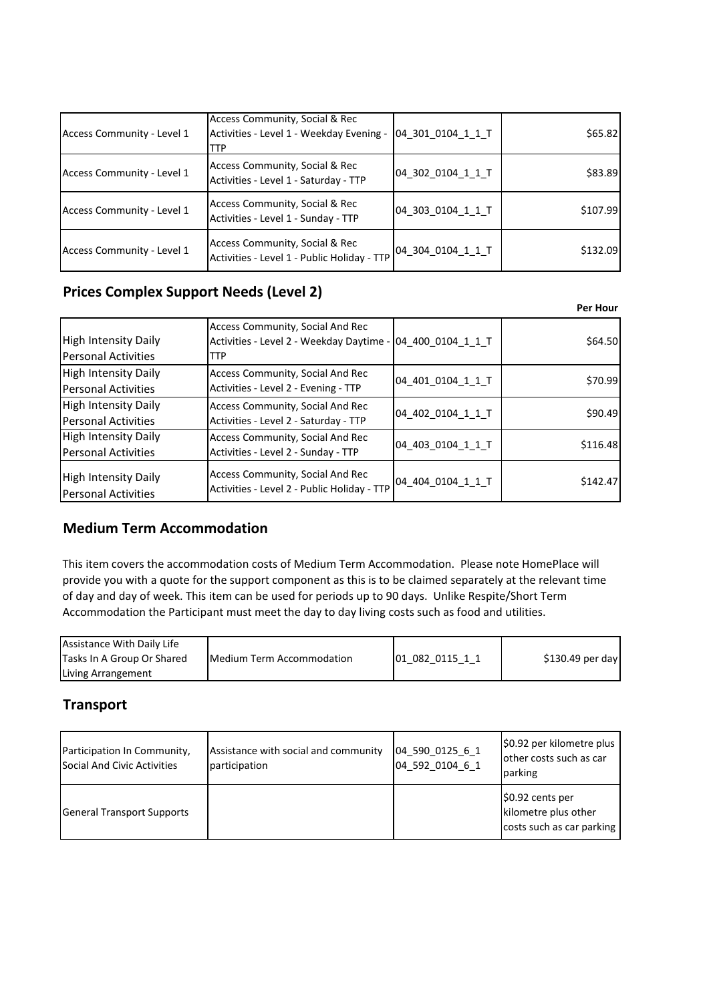| Access Community - Level 1 | Access Community, Social & Rec<br>Activities - Level 1 - Weekday Evening -<br><b>TTP</b> | 04 301 0104 1 1 T | \$65.82  |
|----------------------------|------------------------------------------------------------------------------------------|-------------------|----------|
| Access Community - Level 1 | Access Community, Social & Rec<br>Activities - Level 1 - Saturday - TTP                  | 04 302 0104 1 1 T | \$83.89  |
| Access Community - Level 1 | Access Community, Social & Rec<br>Activities - Level 1 - Sunday - TTP                    | 04 303 0104 1 1 T | \$107.99 |
| Access Community - Level 1 | Access Community, Social & Rec<br>Activities - Level 1 - Public Holiday - TTP            | 04 304 0104 1 1 T | \$132.09 |

### **Prices Complex Support Needs (Level 2)**

|                                                           |                                                                                                       |                   | Per Hour |
|-----------------------------------------------------------|-------------------------------------------------------------------------------------------------------|-------------------|----------|
| <b>High Intensity Daily</b><br><b>Personal Activities</b> | Access Community, Social And Rec<br>Activities - Level 2 - Weekday Daytime - 04 400 0104 1 1 T<br>TTP |                   | \$64.50  |
| <b>High Intensity Daily</b><br><b>Personal Activities</b> | <b>Access Community, Social And Rec</b><br>Activities - Level 2 - Evening - TTP                       | 04_401_0104_1_1_T | \$70.99  |
| <b>High Intensity Daily</b><br><b>Personal Activities</b> | Access Community, Social And Rec<br>Activities - Level 2 - Saturday - TTP                             | 04 402 0104 1 1 T | \$90.49  |
| <b>High Intensity Daily</b><br>Personal Activities        | <b>Access Community, Social And Rec</b><br>Activities - Level 2 - Sunday - TTP                        | 04 403 0104 1 1 T | \$116.48 |
| <b>High Intensity Daily</b><br><b>Personal Activities</b> | <b>Access Community, Social And Rec</b><br>Activities - Level 2 - Public Holiday - TTP                | 04 404 0104 1 1 T | \$142.47 |

#### **Medium Term Accommodation**

This item covers the accommodation costs of Medium Term Accommodation. Please note HomePlace will provide you with a quote for the support component as this is to be claimed separately at the relevant time of day and day of week. This item can be used for periods up to 90 days. Unlike Respite/Short Term Accommodation the Participant must meet the day to day living costs such as food and utilities.

| Assistance With Daily Life |                                   |                 |                   |
|----------------------------|-----------------------------------|-----------------|-------------------|
| Tasks In A Group Or Shared | <b>IMedium Term Accommodation</b> | 01 082 0115 1 1 | $$130.49$ per day |
| Living Arrangement         |                                   |                 |                   |

### **Transport**

| Participation In Community,<br>Social And Civic Activities | Assistance with social and community<br>participation | 04 590 0125 6 1<br>04 592 0104 6 1 | \$0.92 per kilometre plus<br>other costs such as car<br>parking       |
|------------------------------------------------------------|-------------------------------------------------------|------------------------------------|-----------------------------------------------------------------------|
| <b>General Transport Supports</b>                          |                                                       |                                    | \$0.92 cents per<br>kilometre plus other<br>costs such as car parking |